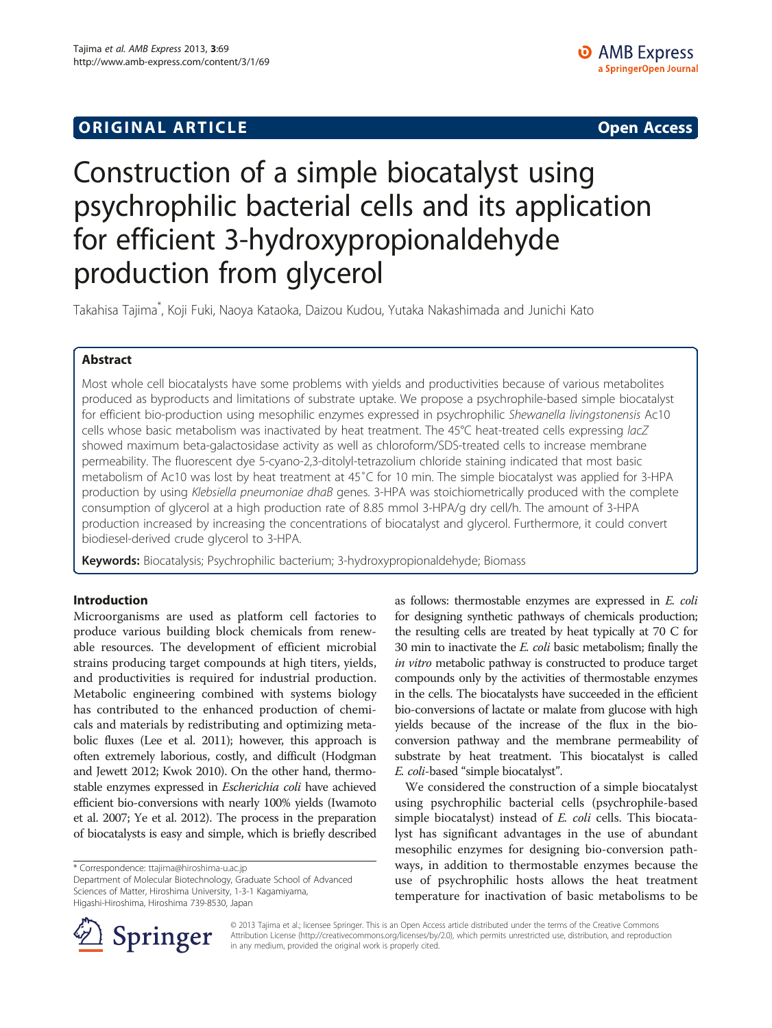# **ORIGINAL ARTICLE CONSERVANCE IN A LOCAL CONSERVANCE IN A LOCAL CONSERVANCE IN A LOCAL CONSERVANCE IN A LOCAL CONSERVANCE IN A LOCAL CONSERVANCE IN A LOCAL CONSERVANCE IN A LOCAL CONSERVANCE IN A LOCAL CONSERVANCE IN A L**

# Construction of a simple biocatalyst using psychrophilic bacterial cells and its application for efficient 3-hydroxypropionaldehyde production from glycerol

Takahisa Tajima<sup>\*</sup>, Koji Fuki, Naoya Kataoka, Daizou Kudou, Yutaka Nakashimada and Junichi Kato

# Abstract

Most whole cell biocatalysts have some problems with yields and productivities because of various metabolites produced as byproducts and limitations of substrate uptake. We propose a psychrophile-based simple biocatalyst for efficient bio-production using mesophilic enzymes expressed in psychrophilic Shewanella livingstonensis Ac10 cells whose basic metabolism was inactivated by heat treatment. The 45°C heat-treated cells expressing lacZ showed maximum beta-galactosidase activity as well as chloroform/SDS-treated cells to increase membrane permeability. The fluorescent dye 5-cyano-2,3-ditolyl-tetrazolium chloride staining indicated that most basic metabolism of Ac10 was lost by heat treatment at 45˚C for 10 min. The simple biocatalyst was applied for 3-HPA production by using Klebsiella pneumoniae dhaB genes. 3-HPA was stoichiometrically produced with the complete consumption of glycerol at a high production rate of 8.85 mmol 3-HPA/g dry cell/h. The amount of 3-HPA production increased by increasing the concentrations of biocatalyst and glycerol. Furthermore, it could convert biodiesel-derived crude glycerol to 3-HPA.

Keywords: Biocatalysis; Psychrophilic bacterium; 3-hydroxypropionaldehyde; Biomass

# Introduction

Microorganisms are used as platform cell factories to produce various building block chemicals from renewable resources. The development of efficient microbial strains producing target compounds at high titers, yields, and productivities is required for industrial production. Metabolic engineering combined with systems biology has contributed to the enhanced production of chemicals and materials by redistributing and optimizing metabolic fluxes (Lee et al. [2011\)](#page-6-0); however, this approach is often extremely laborious, costly, and difficult (Hodgman and Jewett [2012](#page-5-0); Kwok [2010](#page-6-0)). On the other hand, thermostable enzymes expressed in Escherichia coli have achieved efficient bio-conversions with nearly 100% yields (Iwamoto et al. [2007](#page-5-0); Ye et al. [2012\)](#page-6-0). The process in the preparation of biocatalysts is easy and simple, which is briefly described

\* Correspondence: [ttajima@hiroshima-u.ac.jp](mailto:ttajima@hiroshima-u.ac.jp)

Department of Molecular Biotechnology, Graduate School of Advanced Sciences of Matter, Hiroshima University, 1-3-1 Kagamiyama, Higashi-Hiroshima, Hiroshima 739-8530, Japan

as follows: thermostable enzymes are expressed in E. coli for designing synthetic pathways of chemicals production; the resulting cells are treated by heat typically at 70 C for 30 min to inactivate the E. coli basic metabolism; finally the in vitro metabolic pathway is constructed to produce target compounds only by the activities of thermostable enzymes in the cells. The biocatalysts have succeeded in the efficient bio-conversions of lactate or malate from glucose with high yields because of the increase of the flux in the bioconversion pathway and the membrane permeability of substrate by heat treatment. This biocatalyst is called E. coli-based "simple biocatalyst".

We considered the construction of a simple biocatalyst using psychrophilic bacterial cells (psychrophile-based simple biocatalyst) instead of *E. coli* cells. This biocatalyst has significant advantages in the use of abundant mesophilic enzymes for designing bio-conversion pathways, in addition to thermostable enzymes because the use of psychrophilic hosts allows the heat treatment temperature for inactivation of basic metabolisms to be



© 2013 Tajima et al.; licensee Springer. This is an Open Access article distributed under the terms of the Creative Commons Attribution License [\(http://creativecommons.org/licenses/by/2.0\)](http://creativecommons.org/licenses/by/2.0), which permits unrestricted use, distribution, and reproduction in any medium, provided the original work is properly cited.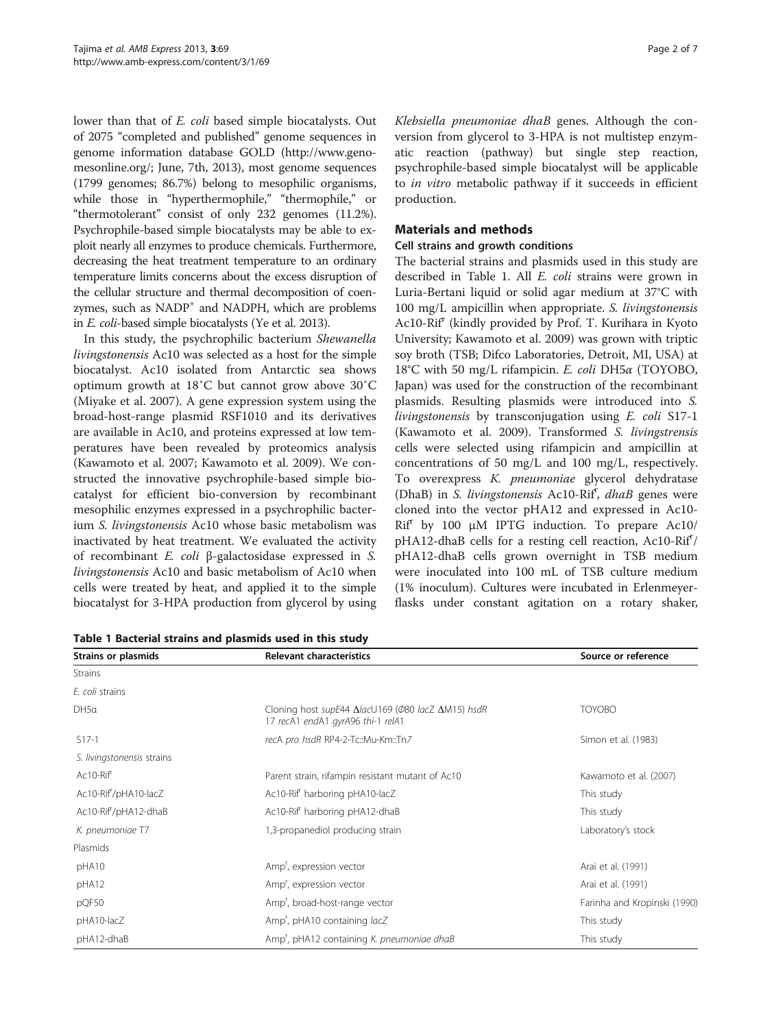lower than that of E. coli based simple biocatalysts. Out of 2075 "completed and published" genome sequences in genome information database GOLD [\(http://www.geno](http://www.genomesonline.org/)[mesonline.org/](http://www.genomesonline.org/); June, 7th, 2013), most genome sequences (1799 genomes; 86.7%) belong to mesophilic organisms, while those in "hyperthermophile," "thermophile," or "thermotolerant" consist of only 232 genomes (11.2%). Psychrophile-based simple biocatalysts may be able to exploit nearly all enzymes to produce chemicals. Furthermore, decreasing the heat treatment temperature to an ordinary temperature limits concerns about the excess disruption of the cellular structure and thermal decomposition of coenzymes, such as NADP<sup>+</sup> and NADPH, which are problems in E. coli-based simple biocatalysts (Ye et al. [2013\)](#page-6-0).

In this study, the psychrophilic bacterium Shewanella livingstonensis Ac10 was selected as a host for the simple biocatalyst. Ac10 isolated from Antarctic sea shows optimum growth at 18˚C but cannot grow above 30˚C (Miyake et al. [2007](#page-6-0)). A gene expression system using the broad-host-range plasmid RSF1010 and its derivatives are available in Ac10, and proteins expressed at low temperatures have been revealed by proteomics analysis (Kawamoto et al. [2007;](#page-6-0) Kawamoto et al. [2009\)](#page-6-0). We constructed the innovative psychrophile-based simple biocatalyst for efficient bio-conversion by recombinant mesophilic enzymes expressed in a psychrophilic bacterium S. livingstonensis Ac10 whose basic metabolism was inactivated by heat treatment. We evaluated the activity of recombinant E. coli β-galactosidase expressed in S. livingstonensis Ac10 and basic metabolism of Ac10 when cells were treated by heat, and applied it to the simple biocatalyst for 3-HPA production from glycerol by using

Table 1 Bacterial strains and plasmids used in this study

Klebsiella pneumoniae dhaB genes. Although the conversion from glycerol to 3-HPA is not multistep enzymatic reaction (pathway) but single step reaction, psychrophile-based simple biocatalyst will be applicable to *in vitro* metabolic pathway if it succeeds in efficient production.

## Materials and methods

#### Cell strains and growth conditions

The bacterial strains and plasmids used in this study are described in Table 1. All E. coli strains were grown in Luria-Bertani liquid or solid agar medium at 37°C with 100 mg/L ampicillin when appropriate. S. livingstonensis Ac10-Rif<sup>r</sup> (kindly provided by Prof. T. Kurihara in Kyoto University; Kawamoto et al. [2009](#page-6-0)) was grown with triptic soy broth (TSB; Difco Laboratories, Detroit, MI, USA) at 18°C with 50 mg/L rifampicin. E. coli DH5α (TOYOBO, Japan) was used for the construction of the recombinant plasmids. Resulting plasmids were introduced into S. livingstonensis by transconjugation using E. coli S17-1 (Kawamoto et al. [2009\)](#page-6-0). Transformed S. livingstrensis cells were selected using rifampicin and ampicillin at concentrations of 50 mg/L and 100 mg/L, respectively. To overexpress K. pneumoniae glycerol dehydratase (DhaB) in S. livingstonensis Ac10-Rif<sup>r</sup>, dhaB genes were cloned into the vector pHA12 and expressed in Ac10- Rif<sup>r</sup> by 100 μM IPTG induction. To prepare Ac10/ pHA12-dhaB cells for a resting cell reaction, Ac10-Rif'/ pHA12-dhaB cells grown overnight in TSB medium were inoculated into 100 mL of TSB culture medium (1% inoculum). Cultures were incubated in Erlenmeyerflasks under constant agitation on a rotary shaker,

| Strains or plasmids               | <b>Relevant characteristics</b>                                                                        | Source or reference          |  |
|-----------------------------------|--------------------------------------------------------------------------------------------------------|------------------------------|--|
| <b>Strains</b>                    |                                                                                                        |                              |  |
| E. coli strains                   |                                                                                                        |                              |  |
| DH5a                              | Cloning host supE44 $\Delta$ lacU169 (Ф80 lacZ $\Delta$ M15) hsdR<br>17 recA1 endA1 gyrA96 thi-1 relA1 | <b>TOYOBO</b>                |  |
| $S17-1$                           | recA pro hsdR RP4-2-Tc::Mu-Km::Tn7                                                                     | Simon et al. (1983)          |  |
| S. livingstonensis strains        |                                                                                                        |                              |  |
| Ac10-Rif <sup>f</sup>             | Parent strain, rifampin resistant mutant of Ac10                                                       | Kawamoto et al. (2007)       |  |
| Ac10-Rif <sup>7</sup> /pHA10-lacZ | Ac10-Rif <sup>f</sup> harboring pHA10-lacZ                                                             | This study                   |  |
| Ac10-Rif <sup>7</sup> pHA12-dhaB  | Ac10-Rif <sup>f</sup> harboring pHA12-dhaB                                                             | This study                   |  |
| K. pneumoniae T7                  | 1,3-propanediol producing strain                                                                       | Laboratory's stock           |  |
| Plasmids                          |                                                                                                        |                              |  |
| pHA10                             | Amp <sup>r</sup> , expression vector                                                                   | Arai et al. (1991)           |  |
| pHA12                             | Amp <sup>'</sup> , expression vector                                                                   | Arai et al. (1991)           |  |
| pQF50                             | Amp <sup>'</sup> , broad-host-range vector                                                             | Farinha and Kropinski (1990) |  |
| pHA10-lacZ                        | Amp <sup>r</sup> , pHA10 containing lacZ                                                               | This study                   |  |
| pHA12-dhaB                        | Amp', pHA12 containing K. pneumoniae dhaB                                                              | This study                   |  |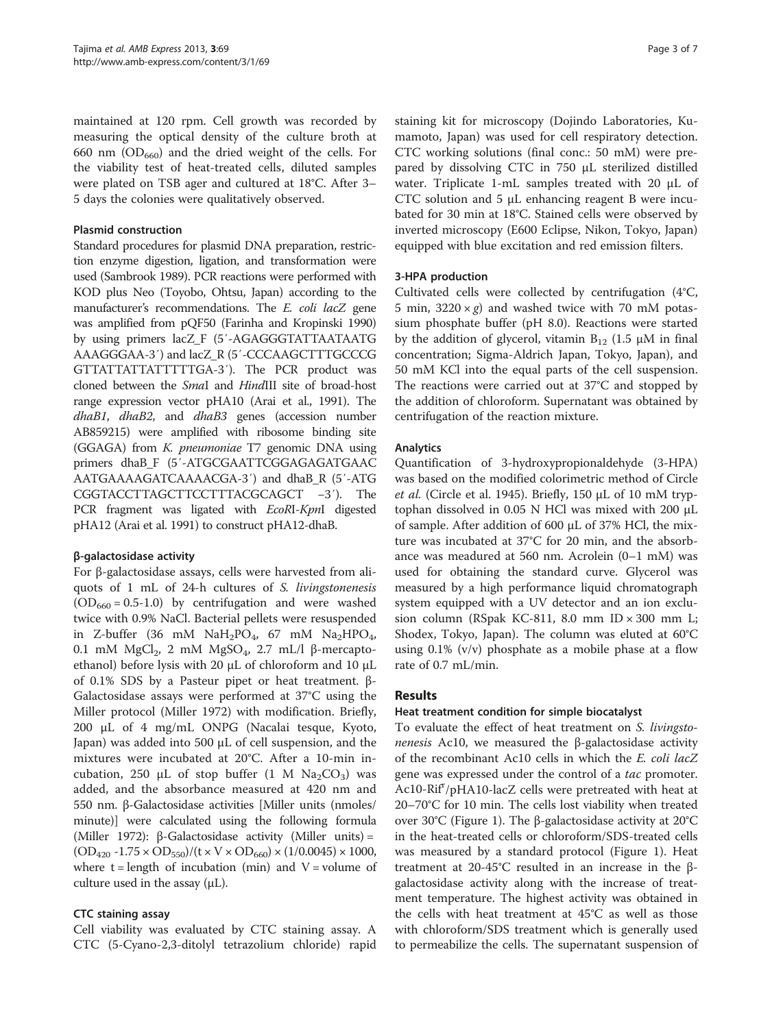maintained at 120 rpm. Cell growth was recorded by measuring the optical density of the culture broth at 660 nm  $(OD_{660})$  and the dried weight of the cells. For the viability test of heat-treated cells, diluted samples were plated on TSB ager and cultured at 18°C. After 3– 5 days the colonies were qualitatively observed.

#### Plasmid construction

Standard procedures for plasmid DNA preparation, restriction enzyme digestion, ligation, and transformation were used (Sambrook [1989\)](#page-6-0). PCR reactions were performed with KOD plus Neo (Toyobo, Ohtsu, Japan) according to the manufacturer's recommendations. The E. coli lacZ gene was amplified from pQF50 (Farinha and Kropinski [1990](#page-5-0)) by using primers lacZ\_F (5′-AGAGGGTATTAATAATG AAAGGGAA-3′) and lacZ\_R (5′-CCCAAGCTTTGCCCG GTTATTATTATTTTTGA-3′). The PCR product was cloned between the SmaI and HindIII site of broad-host range expression vector pHA10 (Arai et al., [1991\)](#page-5-0). The dhaB1, dhaB2, and dhaB3 genes (accession number AB859215) were amplified with ribosome binding site (GGAGA) from K. pneumoniae T7 genomic DNA using primers dhaB\_F (5′-ATGCGAATTCGGAGAGATGAAC AATGAAAAGATCAAAACGA-3′) and dhaB\_R (5′-ATG CGGTACCTTAGCTTCCTTTACGCAGCT −3′). The PCR fragment was ligated with EcoRI-KpnI digested pHA12 (Arai et al. [1991](#page-5-0)) to construct pHA12-dhaB.

## β-galactosidase activity

For β-galactosidase assays, cells were harvested from aliquots of 1 mL of 24-h cultures of S. livingstonenesis  $(OD<sub>660</sub> = 0.5-1.0)$  by centrifugation and were washed twice with 0.9% NaCl. Bacterial pellets were resuspended in Z-buffer (36 mM  $\text{NaH}_2\text{PO}_4$ , 67 mM  $\text{Na}_2\text{HPO}_4$ , 0.1 mM MgCl<sub>2</sub>, 2 mM MgSO<sub>4</sub>, 2.7 mL/l β-mercaptoethanol) before lysis with 20 μL of chloroform and 10 μL of 0.1% SDS by a Pasteur pipet or heat treatment. β-Galactosidase assays were performed at 37°C using the Miller protocol (Miller [1972](#page-6-0)) with modification. Briefly, 200 μL of 4 mg/mL ONPG (Nacalai tesque, Kyoto, Japan) was added into 500 μL of cell suspension, and the mixtures were incubated at 20°C. After a 10-min incubation, 250 μL of stop buffer  $(1 \text{ M } Na<sub>2</sub>CO<sub>3</sub>)$  was added, and the absorbance measured at 420 nm and 550 nm. β-Galactosidase activities [Miller units (nmoles/ minute)] were calculated using the following formula (Miller [1972](#page-6-0)): β-Galactosidase activity (Miller units) =  $(OD_{420} -1.75 \times OD_{550})/(t \times V \times OD_{660}) \times (1/0.0045) \times 1000,$ where  $t =$  length of incubation (min) and  $V =$  volume of culture used in the assay  $(\mu L)$ .

#### CTC staining assay

Cell viability was evaluated by CTC staining assay. A CTC (5-Cyano-2,3-ditolyl tetrazolium chloride) rapid

staining kit for microscopy (Dojindo Laboratories, Kumamoto, Japan) was used for cell respiratory detection. CTC working solutions (final conc.: 50 mM) were prepared by dissolving CTC in 750 μL sterilized distilled water. Triplicate 1-mL samples treated with 20 μL of CTC solution and 5 μL enhancing reagent B were incubated for 30 min at 18°C. Stained cells were observed by inverted microscopy (E600 Eclipse, Nikon, Tokyo, Japan) equipped with blue excitation and red emission filters.

#### 3-HPA production

Cultivated cells were collected by centrifugation (4°C, 5 min,  $3220 \times g$  and washed twice with 70 mM potassium phosphate buffer (pH 8.0). Reactions were started by the addition of glycerol, vitamin  $B_{12}$  (1.5  $\mu$ M in final concentration; Sigma-Aldrich Japan, Tokyo, Japan), and 50 mM KCl into the equal parts of the cell suspension. The reactions were carried out at 37°C and stopped by the addition of chloroform. Supernatant was obtained by centrifugation of the reaction mixture.

#### Analytics

Quantification of 3-hydroxypropionaldehyde (3-HPA) was based on the modified colorimetric method of Circle et al. (Circle et al. [1945\)](#page-5-0). Briefly, 150 μL of 10 mM tryptophan dissolved in 0.05 N HCl was mixed with 200 μL of sample. After addition of 600 μL of 37% HCl, the mixture was incubated at 37°C for 20 min, and the absorbance was meadured at 560 nm. Acrolein (0–1 mM) was used for obtaining the standard curve. Glycerol was measured by a high performance liquid chromatograph system equipped with a UV detector and an ion exclusion column (RSpak KC-811, 8.0 mm ID  $\times$  300 mm L; Shodex, Tokyo, Japan). The column was eluted at 60°C using  $0.1\%$  (v/v) phosphate as a mobile phase at a flow rate of 0.7 mL/min.

## Results

#### Heat treatment condition for simple biocatalyst

To evaluate the effect of heat treatment on S. livingsto*nenesis* Ac10, we measured the  $β$ -galactosidase activity of the recombinant Ac10 cells in which the E. coli lacZ gene was expressed under the control of a *tac* promoter. Ac10-Rif<sup>r</sup>/pHA10-lacZ cells were pretreated with heat at 20–70°C for 10 min. The cells lost viability when treated over 30°C (Figure [1](#page-3-0)). The β-galactosidase activity at 20°C in the heat-treated cells or chloroform/SDS-treated cells was measured by a standard protocol (Figure [1](#page-3-0)). Heat treatment at 20-45°C resulted in an increase in the βgalactosidase activity along with the increase of treatment temperature. The highest activity was obtained in the cells with heat treatment at 45°C as well as those with chloroform/SDS treatment which is generally used to permeabilize the cells. The supernatant suspension of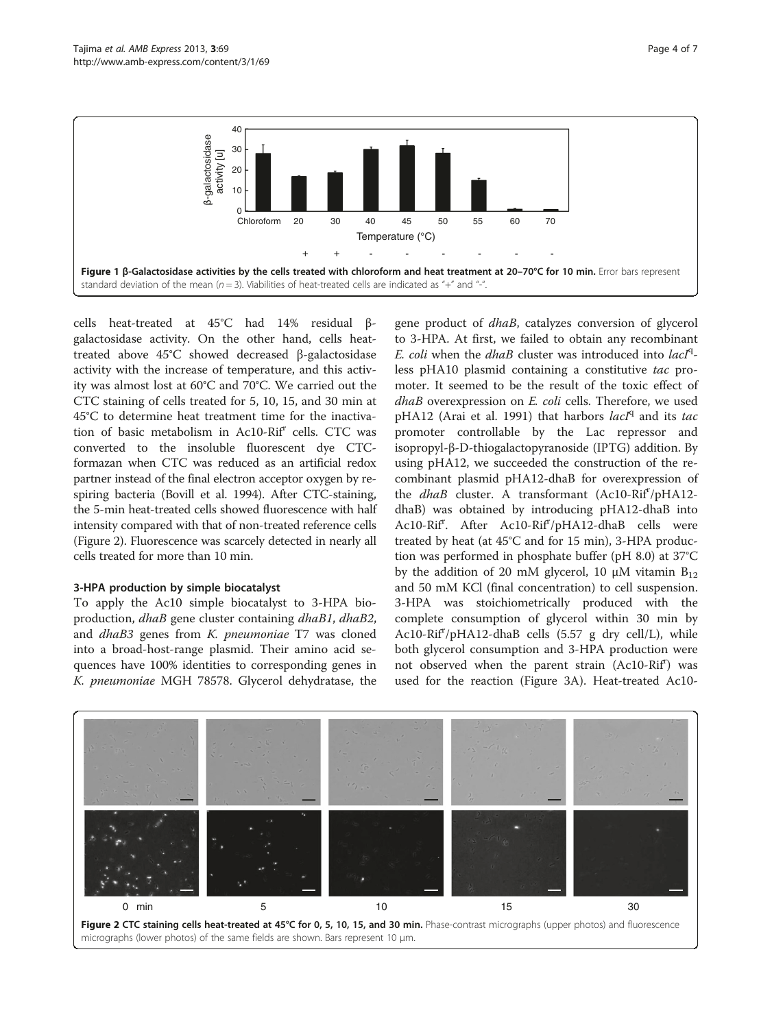<span id="page-3-0"></span>

cells heat-treated at 45°C had 14% residual βgalactosidase activity. On the other hand, cells heattreated above 45°C showed decreased β-galactosidase activity with the increase of temperature, and this activity was almost lost at 60°C and 70°C. We carried out the CTC staining of cells treated for 5, 10, 15, and 30 min at 45°C to determine heat treatment time for the inactivation of basic metabolism in Ac10-Rif<sup>r</sup> cells. CTC was converted to the insoluble fluorescent dye CTCformazan when CTC was reduced as an artificial redox partner instead of the final electron acceptor oxygen by respiring bacteria (Bovill et al. [1994](#page-5-0)). After CTC-staining, the 5-min heat-treated cells showed fluorescence with half intensity compared with that of non-treated reference cells (Figure 2). Fluorescence was scarcely detected in nearly all cells treated for more than 10 min.

## 3-HPA production by simple biocatalyst

To apply the Ac10 simple biocatalyst to 3-HPA bioproduction, dhaB gene cluster containing dhaB1, dhaB2, and dhaB3 genes from K. pneumoniae T7 was cloned into a broad-host-range plasmid. Their amino acid sequences have 100% identities to corresponding genes in K. pneumoniae MGH 78578. Glycerol dehydratase, the

gene product of *dhaB*, catalyzes conversion of glycerol to 3-HPA. At first, we failed to obtain any recombinant E. coli when the dhaB cluster was introduced into lacIqless pHA10 plasmid containing a constitutive tac promoter. It seemed to be the result of the toxic effect of dhaB overexpression on E. coli cells. Therefore, we used pHA12 (Arai et al. [1991\)](#page-5-0) that harbors lacIq and its tac promoter controllable by the Lac repressor and isopropyl-β-D-thiogalactopyranoside (IPTG) addition. By using pHA12, we succeeded the construction of the recombinant plasmid pHA12-dhaB for overexpression of the *dhaB* cluster. A transformant (Ac10-Rif<sup>r</sup>/pHA12dhaB) was obtained by introducing pHA12-dhaB into Ac10-Rif<sup>r</sup>. After Ac10-Rif<sup>r</sup>/pHA12-dhaB cells were treated by heat (at 45°C and for 15 min), 3-HPA production was performed in phosphate buffer (pH 8.0) at 37°C by the addition of 20 mM glycerol, 10  $\mu$ M vitamin B<sub>12</sub> and 50 mM KCl (final concentration) to cell suspension. 3-HPA was stoichiometrically produced with the complete consumption of glycerol within 30 min by Ac10-Rif<sup>r</sup>/pHA12-dhaB cells (5.57 g dry cell/L), while both glycerol consumption and 3-HPA production were not observed when the parent strain (Ac10-Rif<sup>r</sup>) was used for the reaction (Figure [3](#page-4-0)A). Heat-treated Ac10-

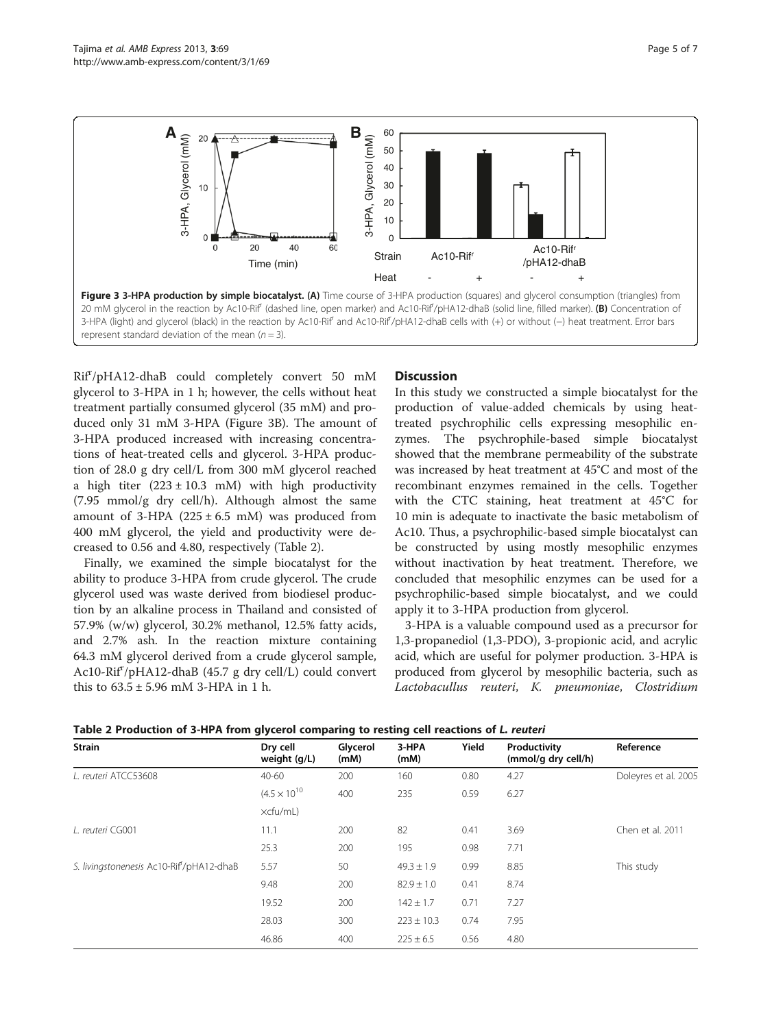<span id="page-4-0"></span>

Rif<sup>r</sup>/pHA12-dhaB could completely convert 50 mM glycerol to 3-HPA in 1 h; however, the cells without heat treatment partially consumed glycerol (35 mM) and produced only 31 mM 3-HPA (Figure 3B). The amount of 3-HPA produced increased with increasing concentrations of heat-treated cells and glycerol. 3-HPA production of 28.0 g dry cell/L from 300 mM glycerol reached a high titer  $(223 \pm 10.3 \text{ m})$  with high productivity (7.95 mmol/g dry cell/h). Although almost the same amount of 3-HPA  $(225 \pm 6.5 \text{ mM})$  was produced from 400 mM glycerol, the yield and productivity were decreased to 0.56 and 4.80, respectively (Table 2).

Finally, we examined the simple biocatalyst for the ability to produce 3-HPA from crude glycerol. The crude glycerol used was waste derived from biodiesel production by an alkaline process in Thailand and consisted of 57.9% (w/w) glycerol, 30.2% methanol, 12.5% fatty acids, and 2.7% ash. In the reaction mixture containing 64.3 mM glycerol derived from a crude glycerol sample, Ac10-Rif<sup>r</sup>/pHA12-dhaB (45.7 g dry cell/L) could convert this to  $63.5 \pm 5.96$  mM 3-HPA in 1 h.

# **Discussion**

In this study we constructed a simple biocatalyst for the production of value-added chemicals by using heattreated psychrophilic cells expressing mesophilic enzymes. The psychrophile-based simple biocatalyst showed that the membrane permeability of the substrate was increased by heat treatment at 45°C and most of the recombinant enzymes remained in the cells. Together with the CTC staining, heat treatment at 45°C for 10 min is adequate to inactivate the basic metabolism of Ac10. Thus, a psychrophilic-based simple biocatalyst can be constructed by using mostly mesophilic enzymes without inactivation by heat treatment. Therefore, we concluded that mesophilic enzymes can be used for a psychrophilic-based simple biocatalyst, and we could apply it to 3-HPA production from glycerol.

3-HPA is a valuable compound used as a precursor for 1,3-propanediol (1,3-PDO), 3-propionic acid, and acrylic acid, which are useful for polymer production. 3-HPA is produced from glycerol by mesophilic bacteria, such as Lactobacullus reuteri, K. pneumoniae, Clostridium

| <b>Strain</b>                           | Dry cell<br>weight (g/L) | Glycerol<br>(mM) | 3-HPA<br>(mM)  | Yield | Productivity<br>(mmol/g dry cell/h) | Reference            |
|-----------------------------------------|--------------------------|------------------|----------------|-------|-------------------------------------|----------------------|
| L. reuteri ATCC53608                    | 40-60                    | 200              | 160            | 0.80  | 4.27                                | Doleyres et al. 2005 |
|                                         | $(4.5 \times 10^{10}$    | 400              | 235            | 0.59  | 6.27                                |                      |
|                                         | xcfu/mL)                 |                  |                |       |                                     |                      |
| L. reuteri CG001                        | 11.1                     | 200              | 82             | 0.41  | 3.69                                | Chen et al. 2011     |
|                                         | 25.3                     | 200              | 195            | 0.98  | 7.71                                |                      |
| S. livingstonenesis Ac10-Rif/pHA12-dhaB | 5.57                     | 50               | $49.3 \pm 1.9$ | 0.99  | 8.85                                | This study           |
|                                         | 9.48                     | 200              | $82.9 \pm 1.0$ | 0.41  | 8.74                                |                      |
|                                         | 19.52                    | 200              | $142 \pm 1.7$  | 0.71  | 7.27                                |                      |
|                                         | 28.03                    | 300              | $223 \pm 10.3$ | 0.74  | 7.95                                |                      |
|                                         | 46.86                    | 400              | $225 \pm 6.5$  | 0.56  | 4.80                                |                      |

Table 2 Production of 3-HPA from glycerol comparing to resting cell reactions of L. reuteri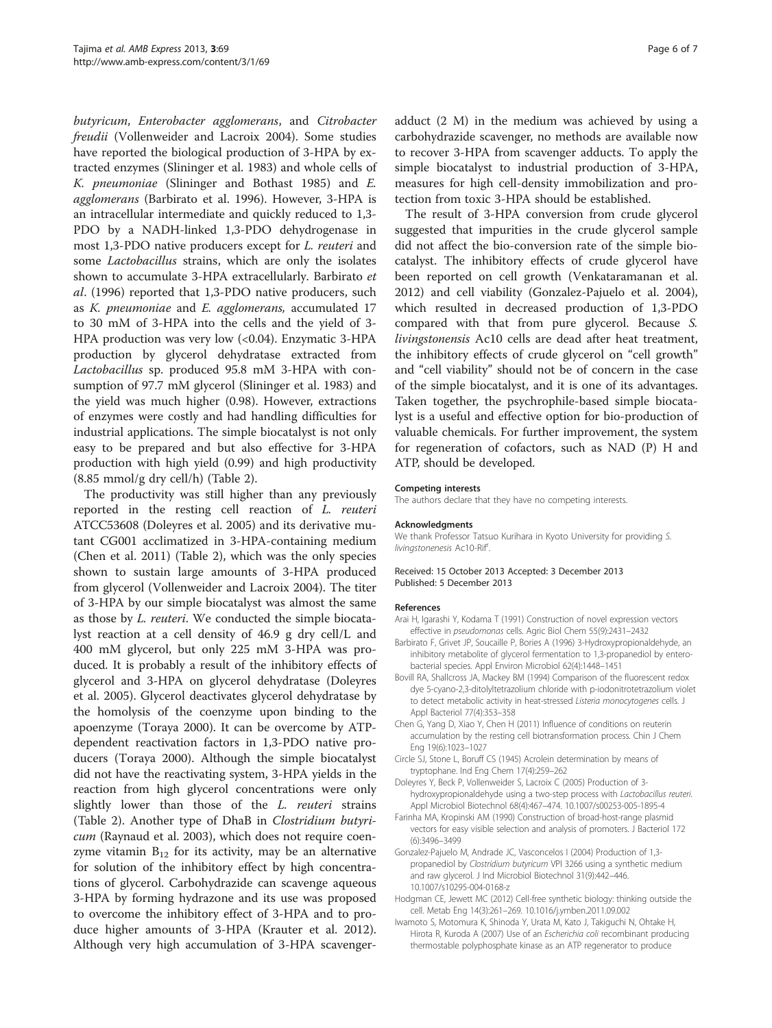<span id="page-5-0"></span>butyricum, Enterobacter agglomerans, and Citrobacter freudii (Vollenweider and Lacroix [2004\)](#page-6-0). Some studies have reported the biological production of 3-HPA by extracted enzymes (Slininger et al. [1983\)](#page-6-0) and whole cells of K. pneumoniae (Slininger and Bothast [1985](#page-6-0)) and E. agglomerans (Barbirato et al. 1996). However, 3-HPA is an intracellular intermediate and quickly reduced to 1,3- PDO by a NADH-linked 1,3-PDO dehydrogenase in most 1,3-PDO native producers except for L. reuteri and some Lactobacillus strains, which are only the isolates shown to accumulate 3-HPA extracellularly. Barbirato et al. (1996) reported that 1,3-PDO native producers, such as K. pneumoniae and E. agglomerans, accumulated 17 to 30 mM of 3-HPA into the cells and the yield of 3- HPA production was very low (<0.04). Enzymatic 3-HPA production by glycerol dehydratase extracted from Lactobacillus sp. produced 95.8 mM 3-HPA with consumption of 97.7 mM glycerol (Slininger et al. [1983](#page-6-0)) and the yield was much higher (0.98). However, extractions of enzymes were costly and had handling difficulties for industrial applications. The simple biocatalyst is not only easy to be prepared and but also effective for 3-HPA production with high yield (0.99) and high productivity  $(8.85 \text{ mmol/g dry cell/h})$  (Table [2](#page-4-0)).

The productivity was still higher than any previously reported in the resting cell reaction of L. reuteri ATCC53608 (Doleyres et al. 2005) and its derivative mutant CG001 acclimatized in 3-HPA-containing medium (Chen et al. 2011) (Table [2](#page-4-0)), which was the only species shown to sustain large amounts of 3-HPA produced from glycerol (Vollenweider and Lacroix [2004](#page-6-0)). The titer of 3-HPA by our simple biocatalyst was almost the same as those by L. reuteri. We conducted the simple biocatalyst reaction at a cell density of 46.9 g dry cell/L and 400 mM glycerol, but only 225 mM 3-HPA was produced. It is probably a result of the inhibitory effects of glycerol and 3-HPA on glycerol dehydratase (Doleyres et al. 2005). Glycerol deactivates glycerol dehydratase by the homolysis of the coenzyme upon binding to the apoenzyme (Toraya [2000](#page-6-0)). It can be overcome by ATPdependent reactivation factors in 1,3-PDO native producers (Toraya [2000\)](#page-6-0). Although the simple biocatalyst did not have the reactivating system, 3-HPA yields in the reaction from high glycerol concentrations were only slightly lower than those of the *L. reuteri* strains (Table [2\)](#page-4-0). Another type of DhaB in Clostridium butyricum (Raynaud et al. [2003](#page-6-0)), which does not require coenzyme vitamin  $B_{12}$  for its activity, may be an alternative for solution of the inhibitory effect by high concentrations of glycerol. Carbohydrazide can scavenge aqueous 3-HPA by forming hydrazone and its use was proposed to overcome the inhibitory effect of 3-HPA and to produce higher amounts of 3-HPA (Krauter et al. [2012](#page-6-0)). Although very high accumulation of 3-HPA scavengeradduct (2 M) in the medium was achieved by using a carbohydrazide scavenger, no methods are available now to recover 3-HPA from scavenger adducts. To apply the simple biocatalyst to industrial production of 3-HPA, measures for high cell-density immobilization and protection from toxic 3-HPA should be established.

The result of 3-HPA conversion from crude glycerol suggested that impurities in the crude glycerol sample did not affect the bio-conversion rate of the simple biocatalyst. The inhibitory effects of crude glycerol have been reported on cell growth (Venkataramanan et al. [2012](#page-6-0)) and cell viability (Gonzalez-Pajuelo et al. 2004), which resulted in decreased production of 1,3-PDO compared with that from pure glycerol. Because S. livingstonensis Ac10 cells are dead after heat treatment, the inhibitory effects of crude glycerol on "cell growth" and "cell viability" should not be of concern in the case of the simple biocatalyst, and it is one of its advantages. Taken together, the psychrophile-based simple biocatalyst is a useful and effective option for bio-production of valuable chemicals. For further improvement, the system for regeneration of cofactors, such as NAD (P) H and ATP, should be developed.

#### Competing interests

The authors declare that they have no competing interests.

#### Acknowledgments

We thank Professor Tatsuo Kurihara in Kyoto University for providing S. livingstonenesis Ac10-Rif<sup>r</sup>.

#### Received: 15 October 2013 Accepted: 3 December 2013 Published: 5 December 2013

#### References

- Arai H, Igarashi Y, Kodama T (1991) Construction of novel expression vectors effective in pseudomonas cells. Agric Biol Chem 55(9):2431–2432
- Barbirato F, Grivet JP, Soucaille P, Bories A (1996) 3-Hydroxypropionaldehyde, an inhibitory metabolite of glycerol fermentation to 1,3-propanediol by enterobacterial species. Appl Environ Microbiol 62(4):1448–1451
- Bovill RA, Shallcross JA, Mackey BM (1994) Comparison of the fluorescent redox dye 5-cyano-2,3-ditolyltetrazolium chloride with p-iodonitrotetrazolium violet to detect metabolic activity in heat-stressed Listeria monocytogenes cells. J Appl Bacteriol 77(4):353–358
- Chen G, Yang D, Xiao Y, Chen H (2011) Influence of conditions on reuterin accumulation by the resting cell biotransformation process. Chin J Chem Eng 19(6):1023–1027
- Circle SJ, Stone L, Boruff CS (1945) Acrolein determination by means of tryptophane. Ind Eng Chem 17(4):259–262
- Doleyres Y, Beck P, Vollenweider S, Lacroix C (2005) Production of 3 hydroxypropionaldehyde using a two-step process with Lactobacillus reuteri. Appl Microbiol Biotechnol 68(4):467–474. 10.1007/s00253-005-1895-4
- Farinha MA, Kropinski AM (1990) Construction of broad-host-range plasmid vectors for easy visible selection and analysis of promoters. J Bacteriol 172 (6):3496–3499
- Gonzalez-Pajuelo M, Andrade JC, Vasconcelos I (2004) Production of 1,3 propanediol by Clostridium butyricum VPI 3266 using a synthetic medium and raw glycerol. J Ind Microbiol Biotechnol 31(9):442–446. 10.1007/s10295-004-0168-z
- Hodgman CE, Jewett MC (2012) Cell-free synthetic biology: thinking outside the cell. Metab Eng 14(3):261–269. 10.1016/j.ymben.2011.09.002
- Iwamoto S, Motomura K, Shinoda Y, Urata M, Kato J, Takiguchi N, Ohtake H, Hirota R, Kuroda A (2007) Use of an Escherichia coli recombinant producing thermostable polyphosphate kinase as an ATP regenerator to produce